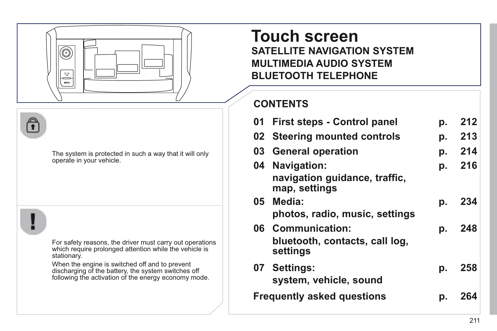

The system is protected in such a way that it will only operate in your vehicle.

For safety reasons, the driver must carry out operations which require prolonged attention while the vehicle is stationary.

When the engine is switched off and to prevent discharging of the battery, the system switches off following the activation of the energy economy mode.

### **Touch screen SATELLITE NAVIGATION SYSTEM MULTIMEDIA AUDIO SYSTEM BLUETOOTH TELEPHONE**

### **CONTENTS**

|                                   | 01 First steps - Control panel                 | р. | 212  |
|-----------------------------------|------------------------------------------------|----|------|
|                                   | 02 Steering mounted controls                   | р. | 213  |
|                                   | 03 General operation                           | p. | -214 |
|                                   | 04 Navigation:                                 | р. | 216  |
|                                   | navigation guidance, traffic,<br>map, settings |    |      |
|                                   | 05 Media:                                      | p. | -234 |
|                                   | photos, radio, music, settings                 |    |      |
|                                   | 06 Communication:                              | p. | 248  |
|                                   | bluetooth, contacts, call log,<br>settings     |    |      |
| 07                                | <b>Settings:</b>                               | p. | -258 |
|                                   | system, vehicle, sound                         |    |      |
| <b>Frequently asked questions</b> |                                                | p. | 264  |
|                                   |                                                |    |      |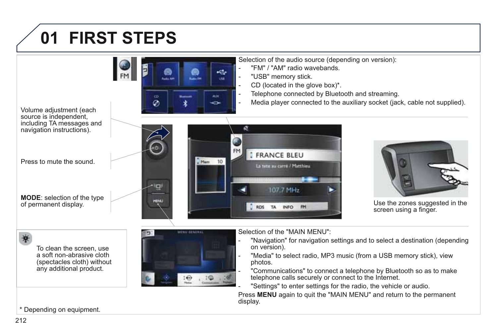## **01 FIRST STEPS**



\* Depending on equipment.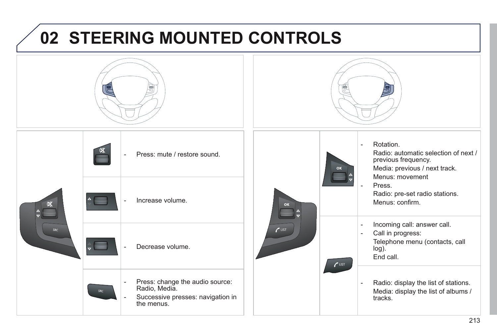## **02 STEERING MOUNTED CONTROLS**

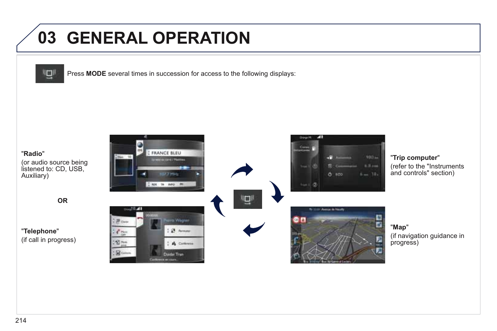## **03 GENERAL OPERATION**



Press **MODE** several times in succession for access to the following displays:

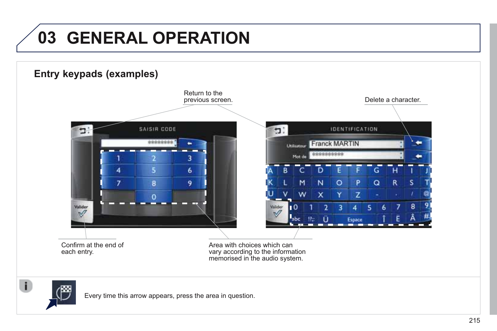## **03 GENERAL OPERATION**

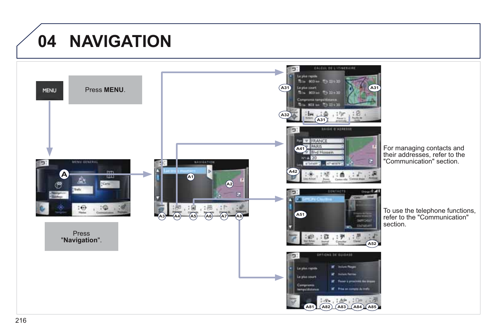## **04 NAVIGATION**

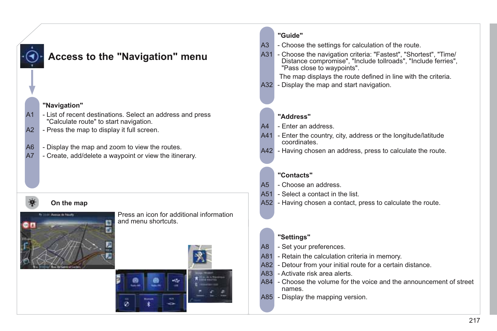

### **Access to the "Navigation" menu**

#### **"Navigation"**

- A<sub>1</sub> List of recent destinations. Select an address and press "Calculate route" to start navigation.
- A2 Press the map to display it full screen.
- A6 Display the map and zoom to view the routes.
- A7 Create, add/delete a waypoint or view the itinerary.

### **On the map**



Press an icon for additional information and menu shortcuts.

wā

#### A31 - Choose the navigation criteria: "Fastest", "Shortest", "Time/ Distance compromise", "Include tollroads", "Include ferries",

"Pass close to waypoints". The map displays the route defined in line with the criteria.

A32 - Display the map and start navigation.

A3 - Choose the settings for calculation of the route.

#### **"Address"**

 **"Guide"** 

- A4 Enter an address.
- A41 Enter the country, city, address or the longitude/latitude coordinates.
- A42 Having chosen an address, press to calculate the route.

#### **"Contacts"**

- A5 Choose an address.
- A51 Select a contact in the list.
- A52 Having chosen a contact, press to calculate the route.

#### **"Settings"**

- A8 Set your preferences.
- A81 Retain the calculation criteria in memory.
- A82 Detour from your initial route for a certain distance.
- A83 Activate risk area alerts.
- A84 Choose the volume for the voice and the announcement of street names.
- A85 Display the mapping version.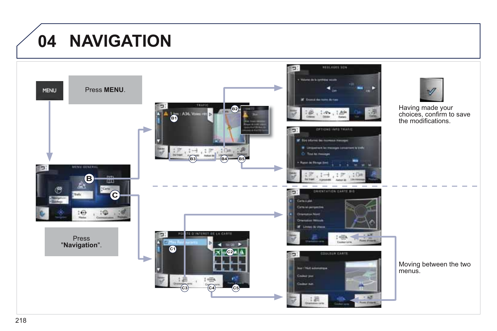**04 NAVIGATION** 

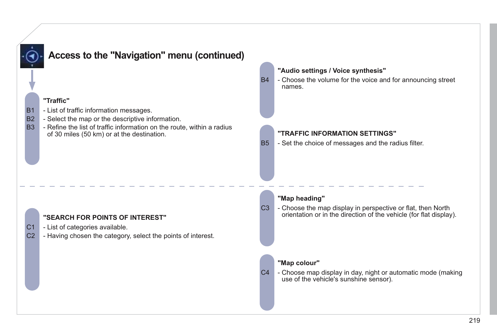|                                     | Access to the "Navigation" menu (continued)                                                                                                                                        | <b>B4</b>      | "Audio settings / Voice synthesis"<br>- Choose the volume for the voice and for announcing street<br>names.                                        |
|-------------------------------------|------------------------------------------------------------------------------------------------------------------------------------------------------------------------------------|----------------|----------------------------------------------------------------------------------------------------------------------------------------------------|
| <b>B1</b><br><b>B2</b><br><b>B3</b> | "Traffic"<br>- List of traffic information messages.<br>- Select the map or the descriptive information.<br>- Refine the list of traffic information on the route, within a radius |                |                                                                                                                                                    |
|                                     | of 30 miles (50 km) or at the destination.                                                                                                                                         | <b>B5</b>      | "TRAFFIC INFORMATION SETTINGS"<br>- Set the choice of messages and the radius filter.                                                              |
| C <sub>1</sub><br>C <sub>2</sub>    | "SEARCH FOR POINTS OF INTEREST"<br>- List of categories available.<br>- Having chosen the category, select the points of interest.                                                 | C3             | "Map heading"<br>- Choose the map display in perspective or flat, then North<br>orientation or in the direction of the vehicle (for flat display). |
|                                     |                                                                                                                                                                                    | C <sub>4</sub> | "Map colour"<br>- Choose map display in day, night or automatic mode (making<br>use of the vehicle's sunshine sensor).                             |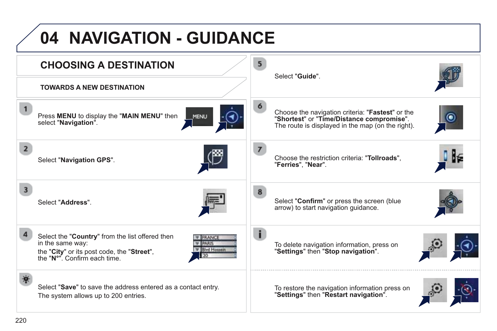| <b>CHOOSING A DESTINATION</b>                                                                                                                           |                     |   | Select "Guide".                                                                                                                                    |  |  |
|---------------------------------------------------------------------------------------------------------------------------------------------------------|---------------------|---|----------------------------------------------------------------------------------------------------------------------------------------------------|--|--|
| <b>TOWARDS A NEW DESTINATION</b>                                                                                                                        |                     |   |                                                                                                                                                    |  |  |
| Press MENU to display the "MAIN MENU" then<br><b>MENU</b><br>select "Navigation".                                                                       |                     |   | Choose the navigation criteria: "Fastest" or the<br>"Shortest" or "Time/Distance compromise".<br>The route is displayed in the map (on the right). |  |  |
| Select "Navigation GPS".                                                                                                                                |                     |   | Choose the restriction criteria: "Tollroads",<br>"Ferries", "Near".                                                                                |  |  |
| Select "Address".                                                                                                                                       |                     | 8 | Select "Confirm" or press the screen (blue<br>arrow) to start navigation quidance.                                                                 |  |  |
| Select the "Country" from the list offered then<br>in the same way:<br>the "City" or its post code, the "Street",<br>20<br>the "N°". Confirm each time. | <b>Blvd Hossein</b> |   | To delete navigation information, press on<br>"Settings" then "Stop navigation".                                                                   |  |  |
| Select "Save" to save the address entered as a contact entry.<br>The system allows up to 200 entries.                                                   |                     |   | To restore the navigation information press on<br>"Settings" then "Restart navigation".                                                            |  |  |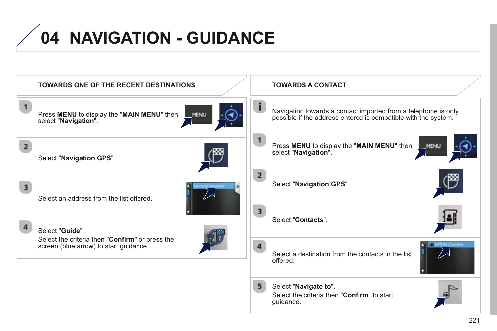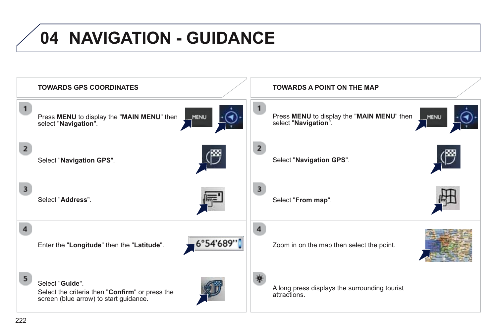| <b>TOWARDS GPS COORDINATES</b>                                                                                    | <b>TOWARDS A POINT ON THE MAP</b>                                                 |
|-------------------------------------------------------------------------------------------------------------------|-----------------------------------------------------------------------------------|
| Press MENU to display the "MAIN MENU" then<br><b>MENU</b><br>select "Navigation".                                 | Press MENU to display the "MAIN MENU" then<br><b>MENU</b><br>select "Navigation". |
| Select "Navigation GPS".                                                                                          | Select "Navigation GPS".                                                          |
| Select "Address".                                                                                                 | Select "From map".                                                                |
| 6°54'689"<br>Enter the "Longitude" then the "Latitude".                                                           | Zoom in on the map then select the point.                                         |
| 5<br>Select "Guide".<br>Select the criteria then "Confirm" or press the<br>screen (blue arrow) to start guidance. | A long press displays the surrounding tourist<br>attractions.                     |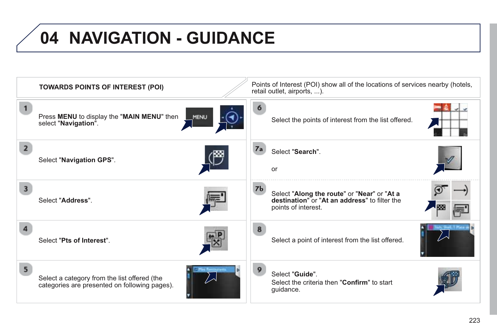| TOWARDS POINTS OF INTEREST (POI)                                                           | Points of Interest (POI) show all of the locations of services nearby (hotels,<br>retail outlet, airports, ).                         |
|--------------------------------------------------------------------------------------------|---------------------------------------------------------------------------------------------------------------------------------------|
| Press MENU to display the "MAIN MENU" then<br><b>MENU</b><br>select "Navigation".          | Select the points of interest from the list offered.                                                                                  |
| Select "Navigation GPS".                                                                   | 7a<br>Select "Search".<br>or                                                                                                          |
| Select "Address".                                                                          | 7 <sub>b</sub><br>Select "Along the route" or "Near" or "At a<br>destination" or "At an address" to filter the<br>points of interest. |
| Select "Pts of Interest".                                                                  | Select a point of interest from the list offered.                                                                                     |
| Select a category from the list offered (the categories are presented on following pages). | Select "Guide".<br>Select the criteria then "Confirm" to start<br>quidance.                                                           |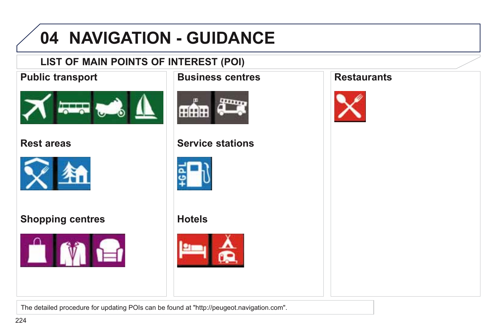# **04 NAVIGATION - GUIDANCE LIST OF MAIN POINTS OF INTEREST (POI) Public transport Business centres Restaurants**   $q_{\rm TUT}$ **Rest areas Service stations Hotels Shopping centres**

The detailed procedure for updating POIs can be found at "http://peugeot.navigation.com".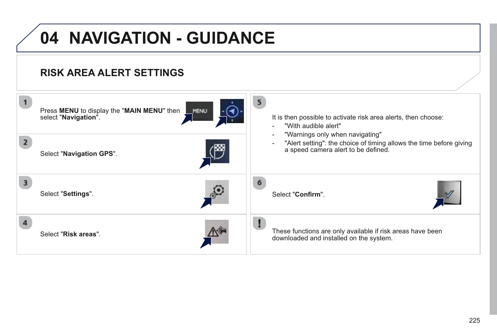### **RISK AREA ALERT SETTINGS**

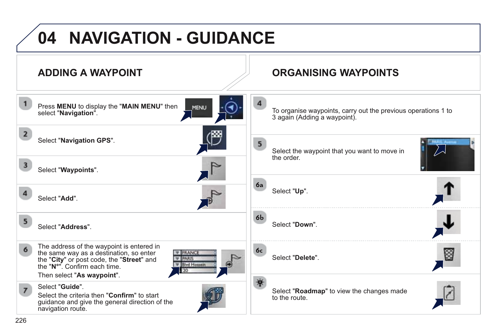#### **04 NAVIGATION - GUIDANCE ADDING A WAYPOINT ORGANISING WAYPOINTS**   $1$  $\overline{4}$ Press **MENU** to display the " **MAIN MENU**" then **MENU** To organise waypoints, carry out the previous operations 1 to select " **Navigation**". 3 again (Adding a waypoint).  $\overline{2}$ Select " **Navigation GPS**".  $5<sup>1</sup>$ Select the waypoint that you want to move in the order.  $\overline{\mathbf{3}}$ Select " **Waypoints**".  $6a$ Select "**Up**".  $\Delta$ Select "Add". **6b** 5 Select " **Down**". Select " **Address**". The address of the waypoint is entered in 6  $6c$ the same way as a destination, so enter **T FRANC** Select " **Delete**". the " **City**" or post code, the " **Street**" and lyd Hossein the "**N°**". Confirm each time. Then select " **As waypoint**". Select " **Guide**".  $\overline{7}$ Select "**Roadmap**" to view the changes made Select the criteria then "**Confirm**" to start to the route. guidance and give the general direction of the navigation route.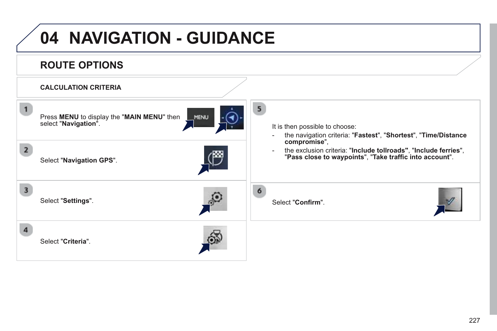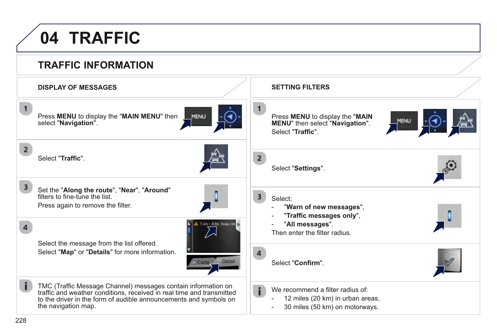#### **04 TRAFFIC TRAFFIC INFORMATION DISPLAY OF MESSAGES SETTING FILTERS**   $\mathbf{1}$  $\mathbf{1}$ Press **MENU** to display the " **MAIN MENU**" then **MENU** Press **MENU** to display the " **MAIN MENU** select " **Navigation**". **MENU**" then select " **Navigation**". Select "**Traffic"**.  $\overline{2}$ Select "**Traffic"**  $\overline{2}$ Select " **Settings**".  $3$ Set the " **Along the route**", " **Near**", " **Around**"  $\overline{3}$ filters to fine-tune the list. Select: Press again to remove the filter. -" **Warn of new messages**", "Traffic messages only", **Los CATA Video ras** -" **All messages**".  $\Delta$ Then enter the filter radius. Select the message from the list offered. Select " **Map**" or " **Details**" for more information.  $\overline{a}$ Détail Select "**Confirm**". TMC (Traffic Message Channel) messages contain information on i We recommend a filter radius of: traffic and weather conditions, received in real time and transmitted to the driver in the form of audible announcements and symbols on - 12 miles (20 km) in urban areas, the navigation map.

- 30 miles (50 km) on motorways.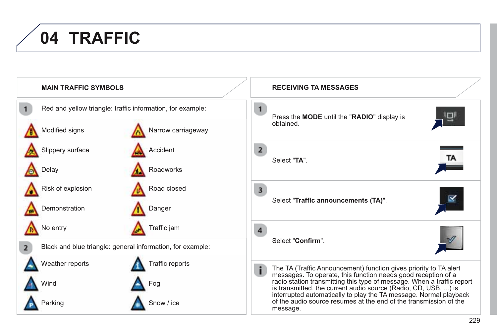## **04 TRAFFIC**

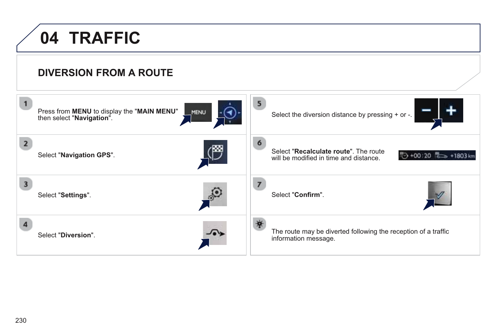## **04 TRAFFIC**

### **DIVERSION FROM A ROUTE**

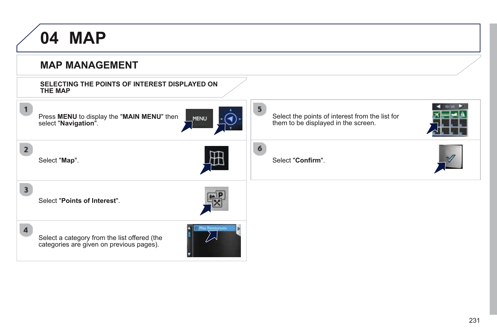### **04 MAP MAP MANAGEMENT SELECTING THE POINTS OF INTEREST DISPLAYED ON THE MAP**   $\overline{1}$  $5<sup>1</sup>$ Select the points of interest from the list for Press **MENU** to display the " **MAIN MENU**" then **MENU** them to be displayed in the screen. select " **Navigation**".  $\overline{2}$  $\epsilon$ Select "Confirm". Select "Map".  $\overline{\mathbf{3}}$ Select " **Points of Interest**".

Select a category from the list offered (the categories are given on previous pages).

 $\overline{4}$ 

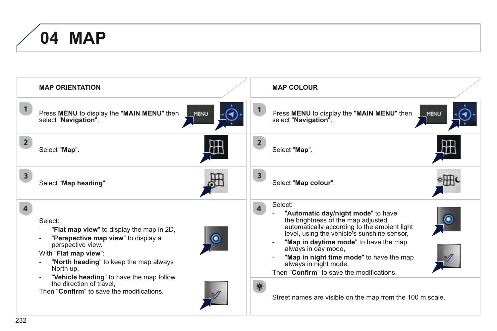

|                | <b>MAP ORIENTATION</b>                                                                                                                                                                                                                                                                                                |   | <b>MAP COLOUR</b>                                                                                                                                                                                                                                                                                                                                                                                                                 |
|----------------|-----------------------------------------------------------------------------------------------------------------------------------------------------------------------------------------------------------------------------------------------------------------------------------------------------------------------|---|-----------------------------------------------------------------------------------------------------------------------------------------------------------------------------------------------------------------------------------------------------------------------------------------------------------------------------------------------------------------------------------------------------------------------------------|
|                | Press MENU to display the "MAIN MENU" then<br><b>MENU</b><br>select "Navigation".                                                                                                                                                                                                                                     |   | Press MENU to display the "MAIN MENU" then<br><b>MENU</b><br>select "Navigation".                                                                                                                                                                                                                                                                                                                                                 |
| $\overline{2}$ | Select "Map".                                                                                                                                                                                                                                                                                                         |   | Select "Map".                                                                                                                                                                                                                                                                                                                                                                                                                     |
|                | Select "Map heading".                                                                                                                                                                                                                                                                                                 | 3 | Select "Map colour".                                                                                                                                                                                                                                                                                                                                                                                                              |
|                | Select:<br>"Flat map view" to display the map in 2D,<br>"Perspective map view" to display a<br>perspective view.<br>With "Flat map view":<br>"North heading" to keep the map always<br>North up,<br>"Vehicle heading" to have the map follow<br>the direction of travel,<br>Then "Confirm" to save the modifications. |   | Select:<br>"Automatic day/night mode" to have<br>the brightness of the map adjusted<br>automatically according to the ambient light<br>level, using the vehicle's sunshine sensor,<br>"Map in daytime mode" to have the map<br>always in day mode,<br>"Map in night time mode" to have the map<br>always in night mode.<br>Then "Confirm" to save the modifications.<br>Street names are visible on the map from the 100 m scale. |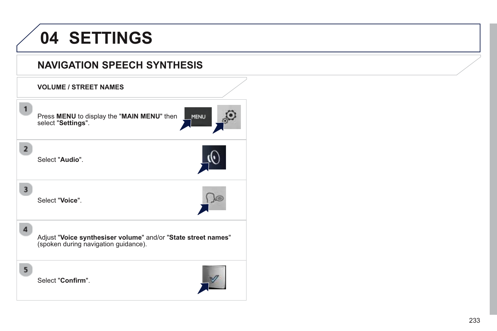## **04 SETTINGS**

### **NAVIGATION SPEECH SYNTHESIS**

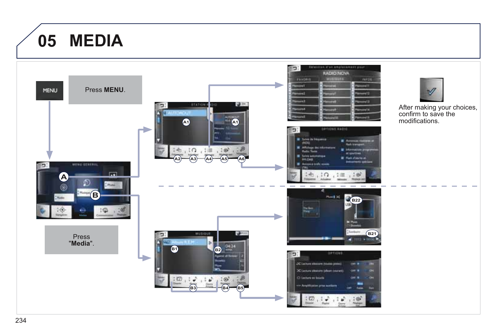## **05 MEDIA**

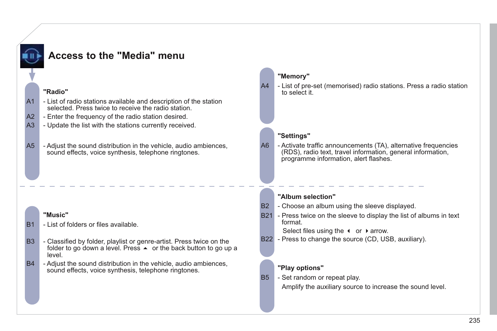

### **Access to the "Media" menu**

#### **"Radio"**

- A<sub>1</sub> List of radio stations available and description of the station selected. Press twice to receive the radio station.
- A2 Enter the frequency of the radio station desired.
- A3 Update the list with the stations currently received.
- A5 Adjust the sound distribution in the vehicle, audio ambiences, sound effects, voice synthesis, telephone ringtones.

#### **"Music"**

- B1 List of folders or files available.
- B3 Classified by folder, playlist or genre-artist. Press twice on the folder to go down a level. Press  $\triangle$  or the back button to go up a level.
- B4 Adjust the sound distribution in the vehicle, audio ambiences, sound effects, voice synthesis, telephone ringtones.

#### **"Memory"**

A4 - List of pre-set (memorised) radio stations. Press a radio station to select it.

#### **"Settings"**

A6 - Activate traffic announcements (TA), alternative frequencies (RDS), radio text, travel information, general information, programme information, alert flashes.

#### **"Album selection"**

- B<sub>2</sub> Choose an album using the sleeve displayed.
- B21 Press twice on the sleeve to display the list of albums in text format.

Select files using the  $\triangleleft$  or  $\triangleright$  arrow.

B22 - Press to change the source (CD, USB, auxiliary).

#### **"Play options"**

B5 - Set random or repeat play.

Amplify the auxiliary source to increase the sound level.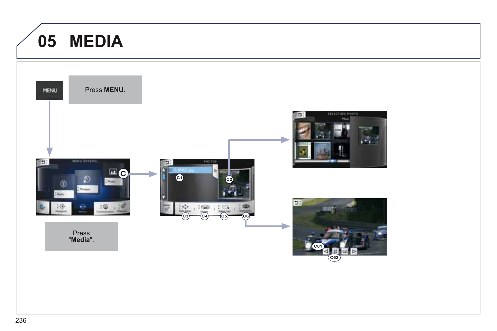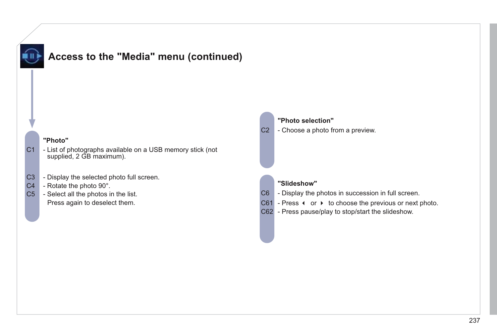

### **Access to the "Media" menu (continued)**

#### **"Photo"**

- C1 List of photographs available on a USB memory stick (not supplied, 2 GB maximum).
- C<sub>3</sub> Display the selected photo full screen.
- C4 Rotate the photo 90°.
- C5 Select all the photos in the list. Press again to deselect them.

#### **"Photo selection"**

C<sub>2</sub> - Choose a photo from a preview.

#### **"Slideshow"**

- C6 Display the photos in succession in full screen.
- C61 Press  $\longleftarrow$  or  $\triangleright$  to choose the previous or next photo.
- C62 Press pause/play to stop/start the slideshow.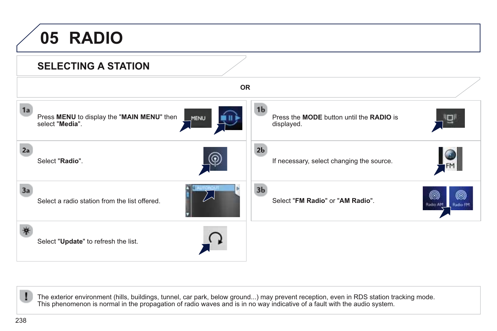### **05 RADIO SELECTING A STATION OR**   $1<sub>b</sub>$  $1a$ Press **MENU** to display the " **MAIN MENU**" then Press the **MODE** button until the **RADIO** is **MENU** select " **Media**". displayed.  $2a$  $2<sub>b</sub>$ Select " **Radio**". If necessary, select changing the source.  $3a$  $3<sub>b</sub>$ (@) Select a radio station from the list offered. Select " **FM Radio**" or " **AM Radio**". **Radio AM Radio FM \*** Select "**Update**" to refresh the list.

The exterior environment (hills, buildings, tunnel, car park, below ground...) may prevent reception, even in RDS station tracking mode. This phenomenon is normal in the propagation of radio waves and is in no way indicative of a fault with the audio system.

Ð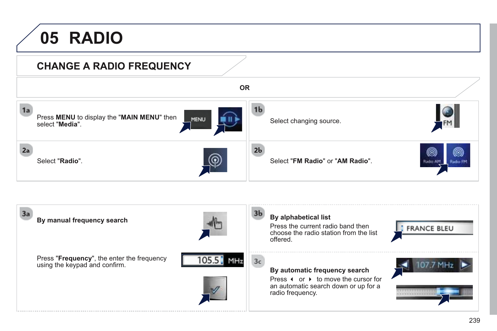## **05 RADIO**

### **CHANGE A RADIO FREQUENCY**



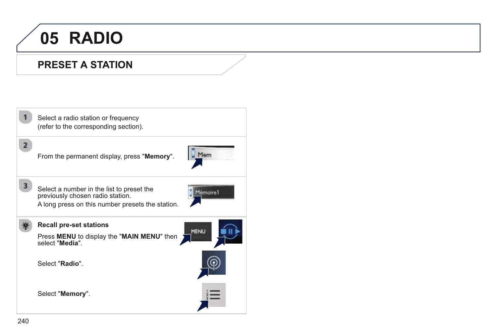## **05 RADIO**

### **PRESET A STATION**

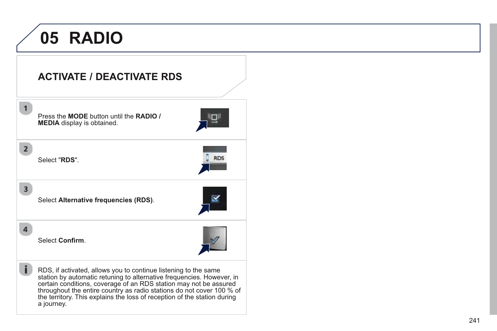## **05 RADIO**

### **ACTIVATE / DEACTIVATE RDS**

Press the **MODE** button until the **RADIO / MEDIA** display is obtained.



Select "RDS".

 $\mathbf{1}$ 

 $\overline{2}$ 

 $\overline{3}$ 

 $\boldsymbol{\Delta}$ 



R

Select **Alternative frequencies (RDS)**.





 $\blacksquare$ RDS, if activated, allows you to continue listening to the same station by automatic retuning to alternative frequencies. However, in certain conditions, coverage of an RDS station may not be assured throughout the entire country as radio stations do not cover 100 % of the territory. This explains the loss of reception of the station during a journey.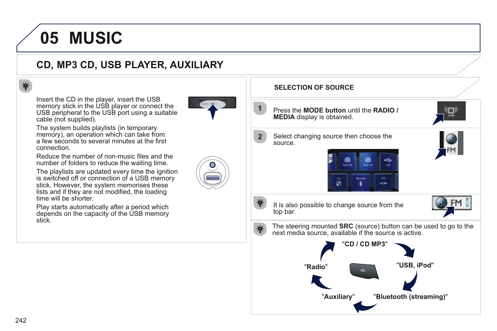## **05 MUSIC**

### **CD, MP3 CD, USB PLAYER, AUXILIARY**

亭

Insert the CD in the player, insert the USB memory stick in the USB player or connect the USB peripheral to the USB port using a suitable cable (not supplied).

The system builds playlists (in temporary memory), an operation which can take from a few seconds to several minutes at the first connection.

Reduce the number of non-music files and the number of folders to reduce the waiting time.

The playlists are updated every time the ignition is switched off or connection of a USB memory stick. However, the system memorises these lists and if they are not modified, the loading time will be shorter.

Play starts automatically after a period which depends on the capacity of the USB memory stick.

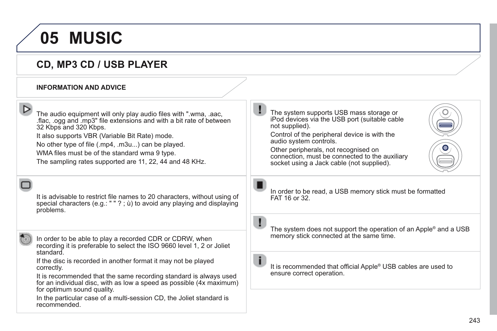## **05 MUSIC**

### **CD, MP3 CD / USB PLAYER**

#### **INFORMATION AND ADVICE**

| The audio equipment will only play audio files with ".wma, .aac,<br>.flac, .ogg and .mp3" file extensions and with a bit rate of between<br>32 Kbps and 320 Kbps.<br>It also supports VBR (Variable Bit Rate) mode.<br>No other type of file (.mp4, .m3u) can be played.<br>WMA files must be of the standard wma 9 type.<br>The sampling rates supported are 11, 22, 44 and 48 KHz.       | The system supports USB mass storage or<br>iPod devices via the USB port (suitable cable<br>not supplied).<br>Control of the peripheral device is with the<br>audio system controls.<br>Other peripherals, not recognised on<br>connection, must be connected to the auxiliary<br>socket using a Jack cable (not supplied). |  |  |
|--------------------------------------------------------------------------------------------------------------------------------------------------------------------------------------------------------------------------------------------------------------------------------------------------------------------------------------------------------------------------------------------|-----------------------------------------------------------------------------------------------------------------------------------------------------------------------------------------------------------------------------------------------------------------------------------------------------------------------------|--|--|
| It is advisable to restrict file names to 20 characters, without using of<br>special characters (e.g.: " "?; $\dot{u}$ ) to avoid any playing and displaying<br>problems.                                                                                                                                                                                                                  | In order to be read, a USB memory stick must be formatted<br>FAT 16 or 32.                                                                                                                                                                                                                                                  |  |  |
| In order to be able to play a recorded CDR or CDRW, when<br>$\sqrt{a}$<br>recording it is preferable to select the ISO 9660 level 1, 2 or Joliet<br>standard.<br>If the disc is recorded in another format it may not be played<br>correctly.<br>It is recommended that the same recording standard is always used<br>for an individual disc, with as low a speed as possible (4x maximum) | The system does not support the operation of an Apple <sup>®</sup> and a USB<br>memory stick connected at the same time.<br>It is recommended that official Apple <sup>®</sup> USB cables are used to<br>ensure correct operation.                                                                                          |  |  |
| for optimum sound quality.<br>In the particular case of a multi-session CD, the Joliet standard is<br>recommended.                                                                                                                                                                                                                                                                         |                                                                                                                                                                                                                                                                                                                             |  |  |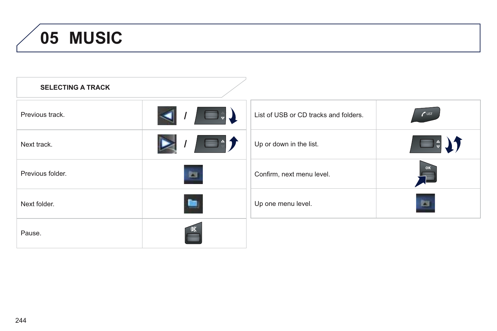## **05 MUSIC**

| <b>SELECTING A TRACK</b> |                 |                                       |                           |
|--------------------------|-----------------|---------------------------------------|---------------------------|
| Previous track.          | $\equiv$ $\Box$ | List of USB or CD tracks and folders. | $\sqrt{\phantom{a}}$ LIST |
| Next track.              | $\blacksquare$  | Up or down in the list.               | $\equiv$ $\binom{1}{2}$   |
| Previous folder.         | <b>ku</b>       | Confirm, next menu level.             | OK<br>Ε                   |
| Next folder.             | ь               | Up one menu level.                    | <b>BSI</b>                |
| Pause.                   | 呶               |                                       |                           |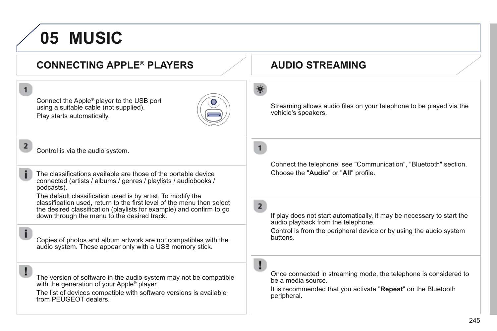#### **05 MUSIC CONNECTING APPLE® PLAYERS AUDIO STREAMING**   $\mathbf{1}$ Connect the Apple<sup>®</sup> player to the USB port using a suitable cable (not supplied). Streaming allows audio files on your telephone to be played via the vehicle's speakers. Play starts automatically.  $\overline{2}$  $\overline{1}$ Control is via the audio system. Connect the telephone: see "Communication", "Bluetooth" section. Choose the "Audio" or "All" profile. The classifications available are those of the portable device connected (artists / albums / genres / playlists / audiobooks / podcasts). The default classification used is by artist. To modify the classification used, return to the first level of the menu then select  $\overline{2}$ the desired classification (playlists for example) and confirm to go If play does not start automatically, it may be necessary to start the down through the menu to the desired track. audio playback from the telephone. Control is from the peripheral device or by using the audio system buttons. Copies of photos and album artwork are not compatibles with the audio system. These appear only with a USB memory stick. ı Once connected in streaming mode, the telephone is considered to The version of software in the audio system may not be compatible be a media source. with the generation of your Apple<sup>®</sup> player.

The list of devices compatible with software versions is available from PEUGEOT dealers.

It is recommended that you activate " **Repeat**" on the Bluetooth peripheral.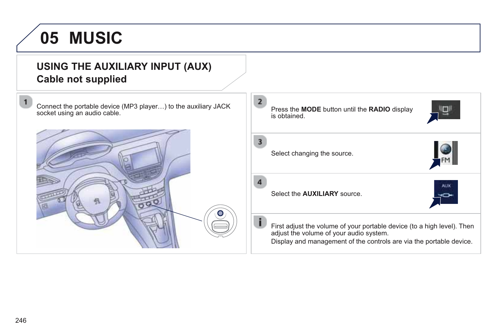### **05 MUSIC USING THE AUXILIARY INPUT (AUX) Cable not supplied**   $\overline{2}$ Connect the portable device (MP3 player…) to the auxiliary JACK Press the **MODE** button until the **RADIO** display socket using an audio cable. is obtained.  $\overline{\mathbf{3}}$ Select changing the source.  $\overline{a}$ **ALIX** Select the **AUXILIARY** source. i First adjust the volume of your portable device (to a high level). Then adjust the volume of your audio system. Display and management of the controls are via the portable device.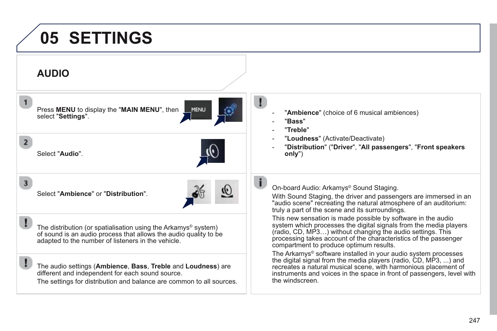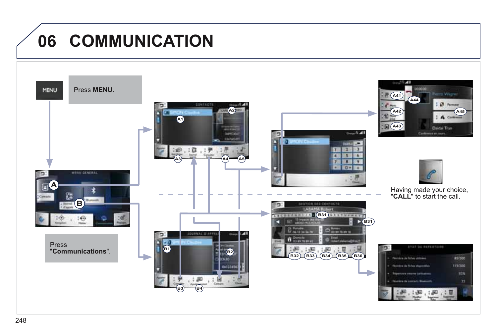## **06 COMMUNICATION**

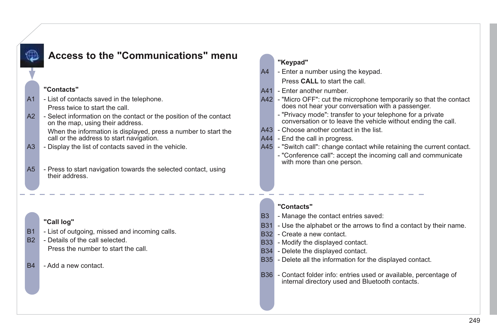| <b>Acc</b> |
|------------|
|            |

### **Access to the "Communications" menu**

#### **"Contacts"**

- A1 List of contacts saved in the telephone. Press twice to start the call.
- A2 Select information on the contact or the position of the contact on the map, using their address. When the information is displayed, press a number to start the call or the address to start navigation.
- A3 Display the list of contacts saved in the vehicle.
- A5 Press to start navigation towards the selected contact, using their address.

#### **"Call log"**

- B<sub>1</sub> List of outgoing, missed and incoming calls.
- B2 Details of the call selected. Press the number to start the call.
- B4 Add a new contact.

### **"Keypad"**

- A4 Enter a number using the keypad. Press **CALL** to start the call.
- A41 Enter another number.
- A42 "Micro OFF": cut the microphone temporarily so that the contact does not hear your conversation with a passenger.
	- "Privacy mode": transfer to your telephone for a private conversation or to leave the vehicle without ending the call.
- A43 Choose another contact in the list.
- A44 End the call in progress.
- A45 "Switch call": change contact while retaining the current contact.
	- "Conference call": accept the incoming call and communicate with more than one person.

### **"Contacts"**

- B3 Manage the contact entries saved:
- B31 Use the alphabet or the arrows to find a contact by their name.
- B32 Create a new contact.
- B33 Modify the displayed contact.
- B34 Delete the displayed contact.
- B35 Delete all the information for the displayed contact.
- B36 Contact folder info: entries used or available, percentage of internal directory used and Bluetooth contacts.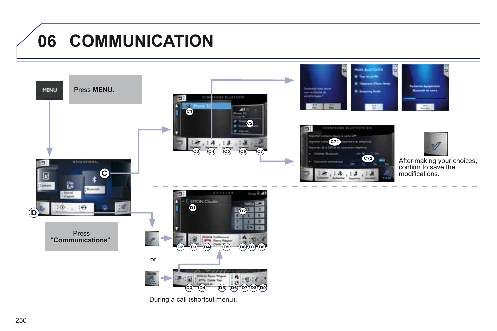#### **06 COMMUNICATION HOPLIGEROOM** المراجات as Phone Street Press **MENU**. **MENU** an ini mas and then Line incolarche la INS ELLISTOCTH **At** Æ **C1 C2** COMMERCINE BLUETOOTH BIG **C71**  $\mathscr{A}$ **C3 C4 C5 C7 C6 C72** After making your choices, **MERIE GENERAL** confirm to save the **C** modifications. **SINON Clauder NAME D D1 D2** Press " **Communications**". **D2 D3 D4 D5 D6 D7 D8** or **D3 D4 D5 D6 D7 D8 D9** During a call (shortcut menu).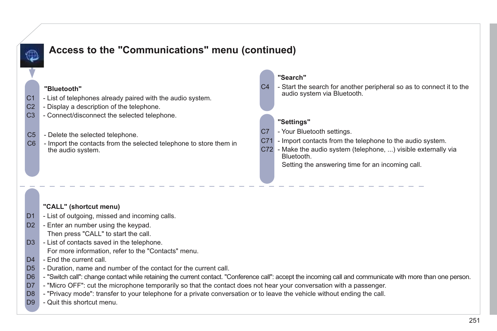

### **Access to the "Communications" menu (continued)**

#### **"Bluetooth"**

- C1 List of telephones already paired with the audio system.
- C2 Display a description of the telephone.
- C<sub>3</sub> Connect/disconnect the selected telephone.
- C5 Delete the selected telephone.
- C6 Import the contacts from the selected telephone to store them in the audio system.

#### **"Search"**

C4 - Start the search for another peripheral so as to connect it to the audio system via Bluetooth.

#### **"Settings"**

- C7 Your Bluetooth settings.
- C71 Import contacts from the telephone to the audio system.

C72 - Make the audio system (telephone, ...) visible externally via Bluetooth.

Setting the answering time for an incoming call.

#### **"CALL" (shortcut menu)**

- D1 List of outgoing, missed and incoming calls.
- D<sub>2</sub> Enter an number using the keypad. Then press "CALL" to start the call.
- D<sub>3</sub> List of contacts saved in the telephone. For more information, refer to the "Contacts" menu.
- D4 End the current call.
- D5 Duration, name and number of the contact for the current call.
- D6 "Switch call": change contact while retaining the current contact. "Conference call": accept the incoming call and communicate with more than one person.
- D7 "Micro OFF": cut the microphone temporarily so that the contact does not hear your conversation with a passenger.
- D8 "Privacy mode": transfer to your telephone for a private conversation or to leave the vehicle without ending the call.
- D9 Quit this shortcut menu.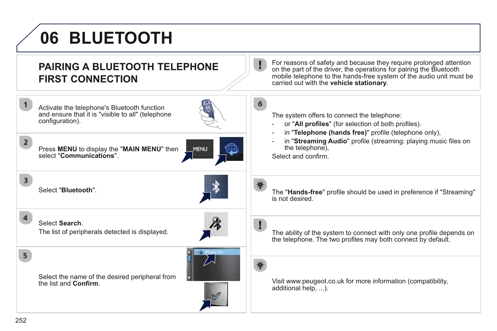## **06 BLUETOOTH**

### **PAIRING A BLUETOOTH TELEPHONE FIRST CONNECTION**

For reasons of safety and because they require prolonged attention on the part of the driver, the operations for pairing the Bluetooth mobile telephone to the hands-free system of the audio unit must be carried out with the **vehicle stationary**.

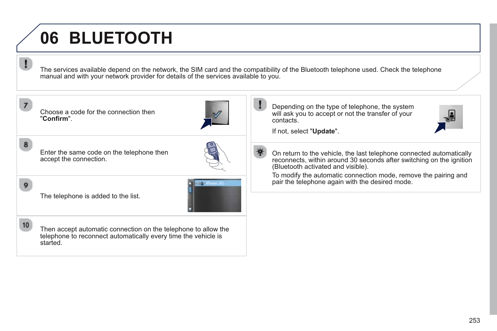## **06 BLUETOOTH**

The services available depend on the network, the SIM card and the compatibility of the Bluetooth telephone used. Check the telephone manual and with your network provider for details of the services available to you.

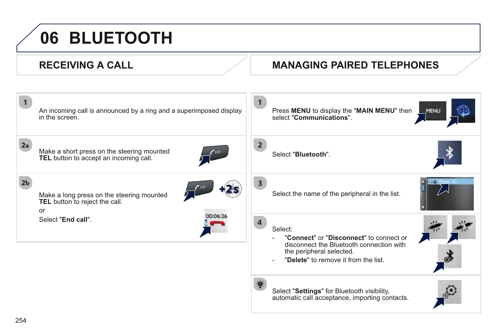## **06 BLUETOOTH**

**RECEIVING A CALL** 

### **MANAGING PAIRED TELEPHONES**

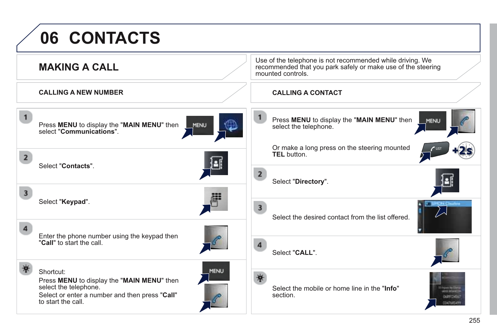|                         | 06 CONTACTS                                                                                                                                                             |                                                                                                                                                |  |
|-------------------------|-------------------------------------------------------------------------------------------------------------------------------------------------------------------------|------------------------------------------------------------------------------------------------------------------------------------------------|--|
|                         | <b>MAKING A CALL</b>                                                                                                                                                    | Use of the telephone is not recommended while driving. We<br>recommended that you park safely or make use of the steering<br>mounted controls. |  |
|                         | <b>CALLING A NEW NUMBER</b>                                                                                                                                             | <b>CALLING A CONTACT</b>                                                                                                                       |  |
|                         | Press MENU to display the "MAIN MENU" then<br><b>MENU</b><br>select "Communications".                                                                                   | Press MENU to display the "MAIN MENU" then<br><b>MENU</b><br>select the telephone.                                                             |  |
| $\overline{2}$          |                                                                                                                                                                         | Or make a long press on the steering mounted<br>TEL button.                                                                                    |  |
| Select "Contacts".      |                                                                                                                                                                         | $\overline{2}$<br>Select "Directory".                                                                                                          |  |
| $\overline{\mathbf{3}}$ | Select "Keypad".                                                                                                                                                        | $\overline{3}$<br>Select the desired contact from the list offered.                                                                            |  |
|                         | Enter the phone number using the keypad then                                                                                                                            |                                                                                                                                                |  |
|                         | "Call" to start the call.                                                                                                                                               | Select "CALL".                                                                                                                                 |  |
|                         | <b>MENU</b><br>Shortcut:<br>Press MENU to display the "MAIN MENU" then<br>select the telephone.<br>Select or enter a number and then press "Call"<br>to start the call. | Select the mobile or home line in the "Info"<br>section.                                                                                       |  |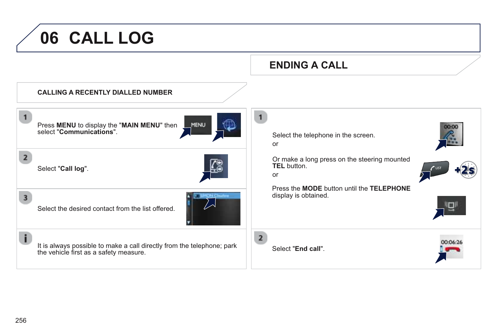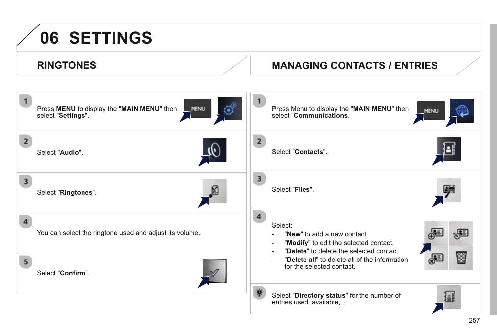## **06 SETTINGS**

### **RINGTONES**

### **MANAGING CONTACTS / ENTRIES**

| Press MENU to display the "MAIN MENU" then<br><b>MENU</b><br>$\mathbf{r}$<br>select "Settings". | Press Menu to display the "MAIN MENU" then<br><b>MENU</b><br>select "Communications.                                                                                       |
|-------------------------------------------------------------------------------------------------|----------------------------------------------------------------------------------------------------------------------------------------------------------------------------|
| $\overline{\mathbf{z}}$<br>Select "Audio".                                                      | Select "Contacts".                                                                                                                                                         |
| Select "Ringtones".                                                                             | Select "Files".                                                                                                                                                            |
| You can select the ringtone used and adjust its volume.                                         | Select:<br>"New" to add a new contact.<br>"Modify" to edit the selected contact.<br>$\overline{\phantom{a}}$<br>"Delete" to delete the selected contact.<br>$\overline{a}$ |
| 5<br>Select "Confirm".                                                                          | "Delete all" to delete all of the information<br>for the selected contact.                                                                                                 |
|                                                                                                 | Select "Directory status" for the number of<br>entries used, available,                                                                                                    |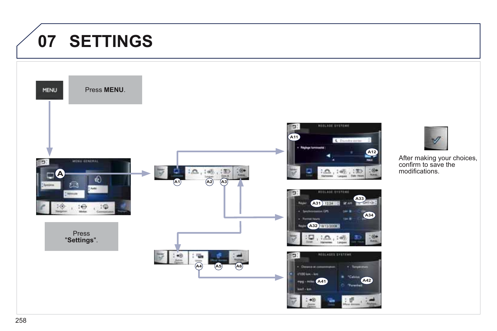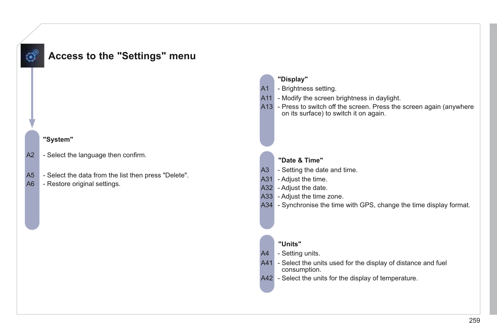

### **Access to the "Settings" menu**

#### **"System"**

- A2 Select the language then confirm.
- A5 Select the data from the list then press "Delete".
- A6 Restore original settings.

#### **"Display"**

- A1 Brightness setting.
- A11 Modify the screen brightness in daylight.
- A13 Press to switch off the screen. Press the screen again (anywhere on its surface) to switch it on again.

#### **"Date & Time"**

- A3 Setting the date and time.
- A31 Adjust the time.
- A32 Adjust the date.
- A33 Adjust the time zone.
- A34 Synchronise the time with GPS, change the time display format.

#### **"Units"**

- A4 Setting units.
- A41 Select the units used for the display of distance and fuel consumption.
- A42 Select the units for the display of temperature.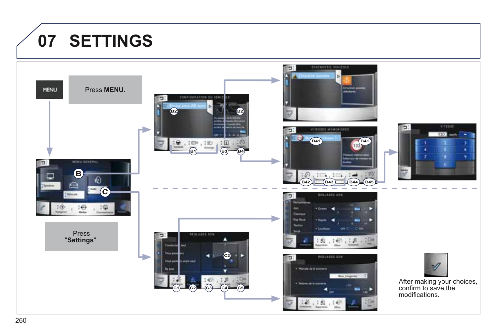## **07 SETTINGS**

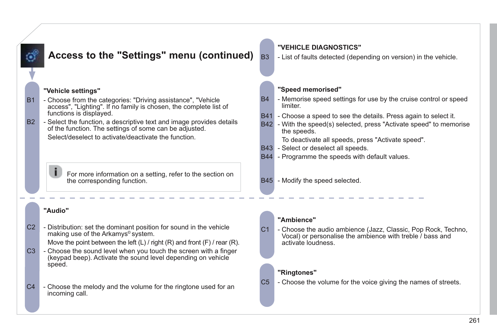### ď

### **Access to the "Settings" menu (continued)**

#### **"Vehicle settings"**

- B1 Choose from the categories: "Driving assistance", "Vehicle access", "Lighting". If no family is chosen, the complete list of functions is displayed.
- B<sub>2</sub> Select the function, a descriptive text and image provides details of the function. The settings of some can be adjusted. Select/deselect to activate/deactivate the function.
	- For more information on a setting, refer to the section on the corresponding function.

#### **"Audio"**

C2 - Distribution: set the dominant position for sound in the vehicle making use of the Arkamys<sup>®</sup> system.

Move the point between the left (L) / right (R) and front (F) / rear (R).

- $C3$  Choose the sound level when you touch the screen with a finger (keypad beep). Activate the sound level depending on vehicle speed.
- $|C4|$  Choose the melody and the volume for the ringtone used for an incoming call.

### **"VEHICLE DIAGNOSTICS"**

B3 - List of faults detected (depending on version) in the vehicle.

#### **"Speed memorised"**

- B4 Memorise speed settings for use by the cruise control or speed limiter.
- B41 Choose a speed to see the details. Press again to select it.
- B42 With the speed(s) selected, press "Activate speed" to memorise the speeds.
	- To deactivate all speeds, press "Activate speed".
- B43 Select or deselect all speeds.
- B44 Programme the speeds with default values.
- B45 Modify the speed selected.

#### **"Ambience"**

C1 - Choose the audio ambience (Jazz, Classic, Pop Rock, Techno, Vocal) or personalise the ambience with treble / bass and activate loudness.

#### **"Ringtones"**

C5 - Choose the volume for the voice giving the names of streets.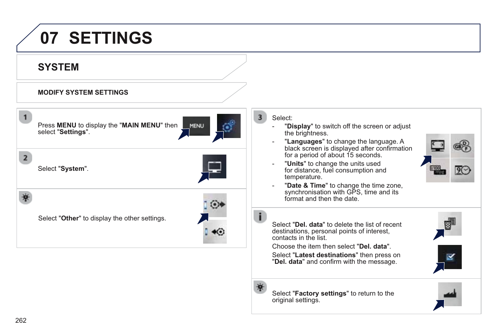### **07 SETTINGS SYSTEM MODIFY SYSTEM SETTINGS**   $\mathbf{1}$  $\overline{\mathbf{3}}$ Select: Press **MENU** to display the "**MAIN MENU**" then **MENU** "**Display**" to switch off the screen or adjust select "**Settings**". the brightness. -" **Languages**" to change the language. A black screen is displayed after confirmation for a period of about 15 seconds .  $\overline{2}$ -" **Units**" to change the units used Select "System". for distance, fuel consumption and temperature. "**Date & Time**" to change the time zone, synchronisation with GPS, time and its format and then the date.  $\odot$ Select "Other" to display the other settings. Select " **Del. data**" to delete the list of recent destinations, personal points of interest, contacts in the list. Choose the item then select " **Del. data**". Select " **Latest destinations**" then press on "Del. data" and confirm with the message. Select "**Factory settings**" to return to the

original settings.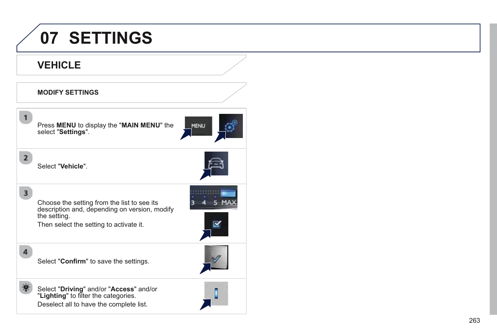## **07 SETTINGS**

### **VEHICLE**

### **MODIFY SETTINGS**

Press **MENU** to display the " **MAIN MENU**" the select " **Settings**".



Select " **Vehicle**".

×

 $\overline{3}$ 

 $\overline{4}$ 

 $\mathbf{1}$ 

 $\overline{2}$ 

Choose the setting from the list to see its description and, depending on version, modify the setting.

Then select the setting to activate it.

Select "Confirm" to save the settings.



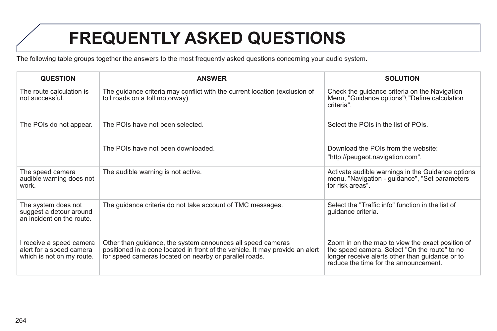The following table groups together the answers to the most frequently asked questions concerning your audio system.

| <b>QUESTION</b>                                                                   | <b>ANSWER</b>                                                                                                                                                                                          | <b>SOLUTION</b>                                                                                                                                                                               |
|-----------------------------------------------------------------------------------|--------------------------------------------------------------------------------------------------------------------------------------------------------------------------------------------------------|-----------------------------------------------------------------------------------------------------------------------------------------------------------------------------------------------|
| The route calculation is<br>not successful.                                       | The guidance criteria may conflict with the current location (exclusion of<br>toll roads on a toll motorway).                                                                                          | Check the guidance criteria on the Navigation<br>Menu, "Guidance options"\ "Define calculation<br>criteria".                                                                                  |
| The POIs do not appear.                                                           | The POIs have not been selected.                                                                                                                                                                       | Select the POIs in the list of POIs.                                                                                                                                                          |
|                                                                                   | The POIs have not been downloaded.                                                                                                                                                                     | Download the POIs from the website:<br>"http://peugeot.navigation.com".                                                                                                                       |
| The speed camera<br>audible warning does not<br>work.                             | The audible warning is not active.                                                                                                                                                                     | Activate audible warnings in the Guidance options<br>menu, "Navigation - guidance", "Set parameters<br>for risk areas"                                                                        |
| The system does not<br>suggest a detour around<br>an incident on the route.       | The guidance criteria do not take account of TMC messages.                                                                                                                                             | Select the "Traffic info" function in the list of<br>quidance criteria.                                                                                                                       |
| I receive a speed camera<br>alert for a speed camera<br>which is not on my route. | Other than guidance, the system announces all speed cameras<br>positioned in a cone located in front of the vehicle. It may provide an alert<br>for speed cameras located on nearby or parallel roads. | Zoom in on the map to view the exact position of<br>the speed camera. Select "On the route" to no<br>longer receive alerts other than guidance or to<br>reduce the time for the announcement. |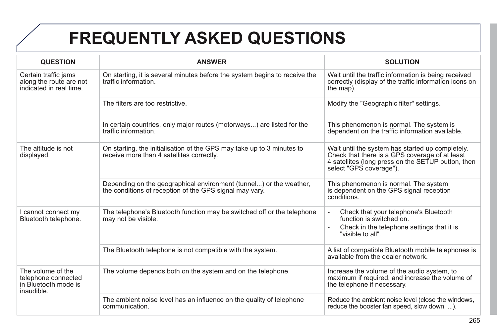| <b>QUESTION</b>                                                                | <b>ANSWER</b>                                                                                                                 | <b>SOLUTION</b>                                                                                                                                                                     |
|--------------------------------------------------------------------------------|-------------------------------------------------------------------------------------------------------------------------------|-------------------------------------------------------------------------------------------------------------------------------------------------------------------------------------|
| Certain traffic jams<br>along the route are not<br>indicated in real time.     | On starting, it is several minutes before the system begins to receive the<br>traffic information.                            | Wait until the traffic information is being received<br>correctly (display of the traffic information icons on<br>the map).                                                         |
|                                                                                | The filters are too restrictive.                                                                                              | Modify the "Geographic filter" settings.                                                                                                                                            |
|                                                                                | In certain countries, only major routes (motorways) are listed for the<br>traffic information.                                | This phenomenon is normal. The system is<br>dependent on the traffic information available.                                                                                         |
| The altitude is not<br>displayed.                                              | On starting, the initialisation of the GPS may take up to 3 minutes to<br>receive more than 4 satellites correctly.           | Wait until the system has started up completely.<br>Check that there is a GPS coverage of at least<br>4 satellites (long press on the SETUP button, then<br>select "GPS coverage"). |
|                                                                                | Depending on the geographical environment (tunnel) or the weather,<br>the conditions of reception of the GPS signal may vary. | This phenomenon is normal. The system<br>is dependent on the GPS signal reception<br>conditions.                                                                                    |
| I cannot connect my<br>Bluetooth telephone.                                    | The telephone's Bluetooth function may be switched off or the telephone<br>may not be visible.                                | Check that your telephone's Bluetooth<br>function is switched on.<br>Check in the telephone settings that it is<br>"visible to all".                                                |
|                                                                                | The Bluetooth telephone is not compatible with the system.                                                                    | A list of compatible Bluetooth mobile telephones is<br>available from the dealer network.                                                                                           |
| The volume of the<br>telephone connected<br>in Bluetooth mode is<br>inaudible. | The volume depends both on the system and on the telephone.                                                                   | Increase the volume of the audio system, to<br>maximum if required, and increase the volume of<br>the telephone if necessary.                                                       |
|                                                                                | The ambient noise level has an influence on the quality of telephone<br>communication.                                        | Reduce the ambient noise level (close the windows,<br>reduce the booster fan speed, slow down, ).                                                                                   |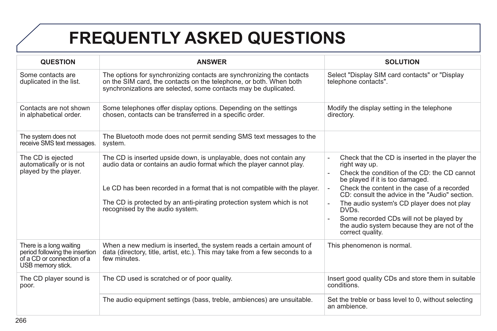| <b>QUESTION</b>                                                                                              | <b>ANSWER</b>                                                                                                                                                                                                                                                                                                                           | <b>SOLUTION</b>                                                                                                                                                                                                                                                                                                                                                                                                                                                                                                                               |
|--------------------------------------------------------------------------------------------------------------|-----------------------------------------------------------------------------------------------------------------------------------------------------------------------------------------------------------------------------------------------------------------------------------------------------------------------------------------|-----------------------------------------------------------------------------------------------------------------------------------------------------------------------------------------------------------------------------------------------------------------------------------------------------------------------------------------------------------------------------------------------------------------------------------------------------------------------------------------------------------------------------------------------|
| Some contacts are<br>duplicated in the list.                                                                 | The options for synchronizing contacts are synchronizing the contacts<br>on the SIM card, the contacts on the telephone, or both. When both<br>synchronizations are selected, some contacts may be duplicated.                                                                                                                          | Select "Display SIM card contacts" or "Display<br>telephone contacts".                                                                                                                                                                                                                                                                                                                                                                                                                                                                        |
| Contacts are not shown<br>in alphabetical order.                                                             | Some telephones offer display options. Depending on the settings<br>chosen, contacts can be transferred in a specific order.                                                                                                                                                                                                            | Modify the display setting in the telephone<br>directory.                                                                                                                                                                                                                                                                                                                                                                                                                                                                                     |
| The system does not<br>receive SMS text messages.                                                            | The Bluetooth mode does not permit sending SMS text messages to the<br>system.                                                                                                                                                                                                                                                          |                                                                                                                                                                                                                                                                                                                                                                                                                                                                                                                                               |
| The CD is ejected<br>automatically or is not<br>played by the player.                                        | The CD is inserted upside down, is unplayable, does not contain any<br>audio data or contains an audio format which the player cannot play.<br>Le CD has been recorded in a format that is not compatible with the player.<br>The CD is protected by an anti-pirating protection system which is not<br>recognised by the audio system. | Check that the CD is inserted in the player the<br>$\overline{\phantom{a}}$<br>right way up.<br>Check the condition of the CD: the CD cannot<br>$\sim$<br>be played if it is too damaged.<br>Check the content in the case of a recorded<br>$\overline{\phantom{a}}$<br>CD: consult the advice in the "Audio" section.<br>The audio system's CD player does not play<br>$\overline{\phantom{a}}$<br>DVD <sub>S</sub><br>Some recorded CDs will not be played by<br>$\sim$<br>the audio system because they are not of the<br>correct quality. |
| There is a long waiting<br>period following the insertion<br>of a CD or connection of a<br>USB memory stick. | When a new medium is inserted, the system reads a certain amount of<br>data (directory, title, artist, etc.). This may take from a few seconds to a<br>few minutes.                                                                                                                                                                     | This phenomenon is normal.                                                                                                                                                                                                                                                                                                                                                                                                                                                                                                                    |
| The CD player sound is<br>poor.                                                                              | The CD used is scratched or of poor quality.                                                                                                                                                                                                                                                                                            | Insert good quality CDs and store them in suitable<br>conditions.                                                                                                                                                                                                                                                                                                                                                                                                                                                                             |
|                                                                                                              | The audio equipment settings (bass, treble, ambiences) are unsuitable.                                                                                                                                                                                                                                                                  | Set the treble or bass level to 0, without selecting<br>an ambience.                                                                                                                                                                                                                                                                                                                                                                                                                                                                          |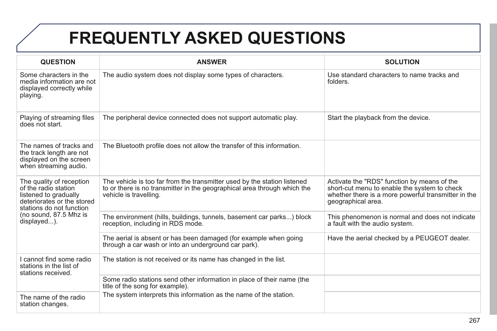| <b>QUESTION</b>                                                                                                                                                              | <b>ANSWER</b>                                                                                                                                                                  | <b>SOLUTION</b>                                                                                                                                                          |
|------------------------------------------------------------------------------------------------------------------------------------------------------------------------------|--------------------------------------------------------------------------------------------------------------------------------------------------------------------------------|--------------------------------------------------------------------------------------------------------------------------------------------------------------------------|
| Some characters in the<br>media information are not<br>displayed correctly while<br>playing.                                                                                 | The audio system does not display some types of characters.                                                                                                                    | Use standard characters to name tracks and<br>folders.                                                                                                                   |
| Playing of streaming files<br>does not start.                                                                                                                                | The peripheral device connected does not support automatic play.                                                                                                               | Start the playback from the device.                                                                                                                                      |
| The names of tracks and<br>the track length are not<br>displayed on the screen<br>when streaming audio.                                                                      | The Bluetooth profile does not allow the transfer of this information.                                                                                                         |                                                                                                                                                                          |
| The quality of reception<br>of the radio station<br>listened to gradually<br>deteriorates or the stored<br>stations do not function<br>(no sound, 87.5 Mhz is<br>displayed). | The vehicle is too far from the transmitter used by the station listened<br>to or there is no transmitter in the geographical area through which the<br>vehicle is travelling. | Activate the "RDS" function by means of the<br>short-cut menu to enable the system to check<br>whether there is a more powerful transmitter in the<br>geographical area. |
|                                                                                                                                                                              | The environment (hills, buildings, tunnels, basement car parks) block<br>reception, including in RDS mode.                                                                     | This phenomenon is normal and does not indicate<br>a fault with the audio system.                                                                                        |
|                                                                                                                                                                              | The aerial is absent or has been damaged (for example when going<br>through a car wash or into an underground car park).                                                       | Have the aerial checked by a PEUGEOT dealer.                                                                                                                             |
| I cannot find some radio<br>stations in the list of<br>stations received.                                                                                                    | The station is not received or its name has changed in the list.                                                                                                               |                                                                                                                                                                          |
|                                                                                                                                                                              | Some radio stations send other information in place of their name (the<br>title of the song for example).                                                                      |                                                                                                                                                                          |
| The name of the radio<br>station changes.                                                                                                                                    | The system interprets this information as the name of the station.                                                                                                             |                                                                                                                                                                          |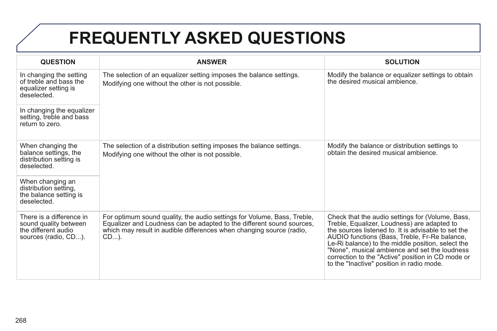| <b>QUESTION</b>                                                                                  | <b>ANSWER</b>                                                                                                                                                                                                                       | <b>SOLUTION</b>                                                                                                                                                                                                                                                                                                                                                                                                 |
|--------------------------------------------------------------------------------------------------|-------------------------------------------------------------------------------------------------------------------------------------------------------------------------------------------------------------------------------------|-----------------------------------------------------------------------------------------------------------------------------------------------------------------------------------------------------------------------------------------------------------------------------------------------------------------------------------------------------------------------------------------------------------------|
| In changing the setting<br>of treble and bass the<br>equalizer setting is<br>deselected.         | The selection of an equalizer setting imposes the balance settings.<br>Modifying one without the other is not possible.                                                                                                             | Modify the balance or equalizer settings to obtain<br>the desired musical ambience.                                                                                                                                                                                                                                                                                                                             |
| In changing the equalizer<br>setting, treble and bass<br>return to zero.                         |                                                                                                                                                                                                                                     |                                                                                                                                                                                                                                                                                                                                                                                                                 |
| When changing the<br>balance settings, the<br>distribution setting is<br>deselected.             | The selection of a distribution setting imposes the balance settings.<br>Modifying one without the other is not possible.                                                                                                           | Modify the balance or distribution settings to<br>obtain the desired musical ambience.                                                                                                                                                                                                                                                                                                                          |
| When changing an<br>distribution setting,<br>the balance setting is<br>deselected.               |                                                                                                                                                                                                                                     |                                                                                                                                                                                                                                                                                                                                                                                                                 |
| There is a difference in<br>sound quality between<br>the different audio<br>sources (radio, CD). | For optimum sound quality, the audio settings for Volume, Bass, Treble,<br>Equalizer and Loudness can be adapted to the different sound sources,<br>which may result in audible differences when changing source (radio,<br>$CD$ ). | Check that the audio settings for (Volume, Bass,<br>Treble, Equalizer, Loudness) are adapted to<br>the sources listened to. It is advisable to set the<br>AUDIO functions (Bass, Treble, Fr-Re balance,<br>Le-Ri balance) to the middle position, select the<br>"None", musical ambience and set the loudness<br>correction to the "Active" position in CD mode or<br>to the "Inactive" position in radio mode. |